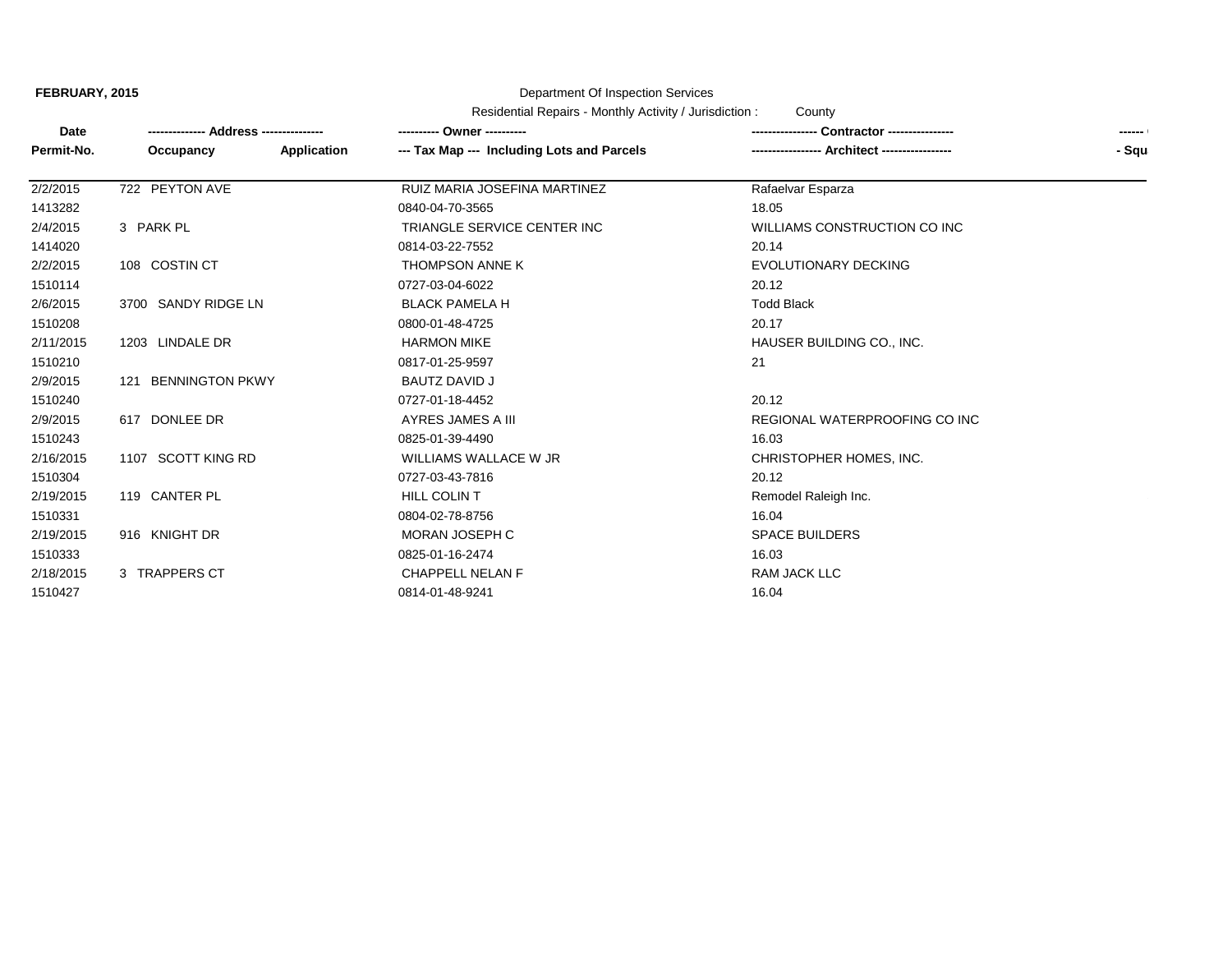**FEBRUARY, 2015**

## Department Of Inspection Services

Residential Repairs - Monthly Activity / Jurisdiction : County

| Date       |                     |             | ---------- Owner ----------                | Contractor ----------------        | ------ |
|------------|---------------------|-------------|--------------------------------------------|------------------------------------|--------|
| Permit-No. | Occupancy           | Application | --- Tax Map --- Including Lots and Parcels | <b>Architect -----------------</b> | - Squ  |
| 2/2/2015   | 722 PEYTON AVE      |             | RUIZ MARIA JOSEFINA MARTINEZ               | Rafaelvar Esparza                  |        |
| 1413282    |                     |             | 0840-04-70-3565                            | 18.05                              |        |
| 2/4/2015   | 3 PARK PL           |             | TRIANGLE SERVICE CENTER INC                | WILLIAMS CONSTRUCTION CO INC       |        |
| 1414020    |                     |             | 0814-03-22-7552                            | 20.14                              |        |
| 2/2/2015   | 108 COSTIN CT       |             | THOMPSON ANNE K                            | EVOLUTIONARY DECKING               |        |
| 1510114    |                     |             | 0727-03-04-6022                            | 20.12                              |        |
| 2/6/2015   | 3700 SANDY RIDGE LN |             | <b>BLACK PAMELA H</b>                      | <b>Todd Black</b>                  |        |
| 1510208    |                     |             | 0800-01-48-4725                            | 20.17                              |        |
| 2/11/2015  | 1203 LINDALE DR     |             | <b>HARMON MIKE</b>                         | HAUSER BUILDING CO., INC.          |        |
| 1510210    |                     |             | 0817-01-25-9597                            | 21                                 |        |
| 2/9/2015   | 121 BENNINGTON PKWY |             | <b>BAUTZ DAVID J</b>                       |                                    |        |
| 1510240    |                     |             | 0727-01-18-4452                            | 20.12                              |        |
| 2/9/2015   | 617 DONLEE DR       |             | AYRES JAMES A III                          | REGIONAL WATERPROOFING CO INC      |        |
| 1510243    |                     |             | 0825-01-39-4490                            | 16.03                              |        |
| 2/16/2015  | 1107 SCOTT KING RD  |             | WILLIAMS WALLACE W JR                      | CHRISTOPHER HOMES, INC.            |        |
| 1510304    |                     |             | 0727-03-43-7816                            | 20.12                              |        |
| 2/19/2015  | 119 CANTER PL       |             | HILL COLIN T                               | Remodel Raleigh Inc.               |        |
| 1510331    |                     |             | 0804-02-78-8756                            | 16.04                              |        |
| 2/19/2015  | 916 KNIGHT DR       |             | MORAN JOSEPH C                             | <b>SPACE BUILDERS</b>              |        |
| 1510333    |                     |             | 0825-01-16-2474                            | 16.03                              |        |
| 2/18/2015  | 3 TRAPPERS CT       |             | <b>CHAPPELL NELAN F</b>                    | RAM JACK LLC                       |        |
| 1510427    |                     |             | 0814-01-48-9241                            | 16.04                              |        |